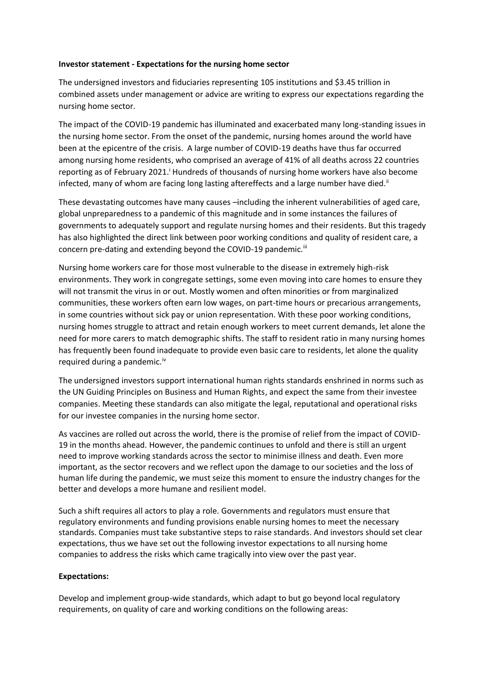#### **Investor statement - Expectations for the nursing home sector**

The undersigned investors and fiduciaries representing 105 institutions and \$3.45 trillion in combined assets under management or advice are writing to express our expectations regarding the nursing home sector.

The impact of the COVID-19 pandemic has illuminated and exacerbated many long-standing issues in the nursing home sector. From the onset of the pandemic, nursing homes around the world have been at the epicentre of the crisis. A large number of COVID-19 deaths have thus far occurred among nursing home residents, who comprised an average of 41% of all deaths across 22 countries reporting as of February 2021.<sup>1</sup> Hundreds of thousands of nursing home workers have also become infected, many of whom are facing long lasting aftereffects and a large number have died.<sup>ii</sup>

These devastating outcomes have many causes –including the inherent vulnerabilities of aged care, global unpreparedness to a pandemic of this magnitude and in some instances the failures of governments to adequately support and regulate nursing homes and their residents. But this tragedy has also highlighted the direct link between poor working conditions and quality of resident care, a concern pre-dating and extending beyond the COVID-19 pandemic.<sup>iii</sup>

Nursing home workers care for those most vulnerable to the disease in extremely high-risk environments. They work in congregate settings, some even moving into care homes to ensure they will not transmit the virus in or out. Mostly women and often minorities or from marginalized communities, these workers often earn low wages, on part-time hours or precarious arrangements, in some countries without sick pay or union representation. With these poor working conditions, nursing homes struggle to attract and retain enough workers to meet current demands, let alone the need for more carers to match demographic shifts. The staff to resident ratio in many nursing homes has frequently been found inadequate to provide even basic care to residents, let alone the quality required during a pandemic.<sup>iv</sup>

The undersigned investors support international human rights standards enshrined in norms such as the UN Guiding Principles on Business and Human Rights, and expect the same from their investee companies. Meeting these standards can also mitigate the legal, reputational and operational risks for our investee companies in the nursing home sector.

As vaccines are rolled out across the world, there is the promise of relief from the impact of COVID-19 in the months ahead. However, the pandemic continues to unfold and there is still an urgent need to improve working standards across the sector to minimise illness and death. Even more important, as the sector recovers and we reflect upon the damage to our societies and the loss of human life during the pandemic, we must seize this moment to ensure the industry changes for the better and develops a more humane and resilient model.

Such a shift requires all actors to play a role. Governments and regulators must ensure that regulatory environments and funding provisions enable nursing homes to meet the necessary standards. Companies must take substantive steps to raise standards. And investors should set clear expectations, thus we have set out the following investor expectations to all nursing home companies to address the risks which came tragically into view over the past year.

#### **Expectations:**

Develop and implement group-wide standards, which adapt to but go beyond local regulatory requirements, on quality of care and working conditions on the following areas: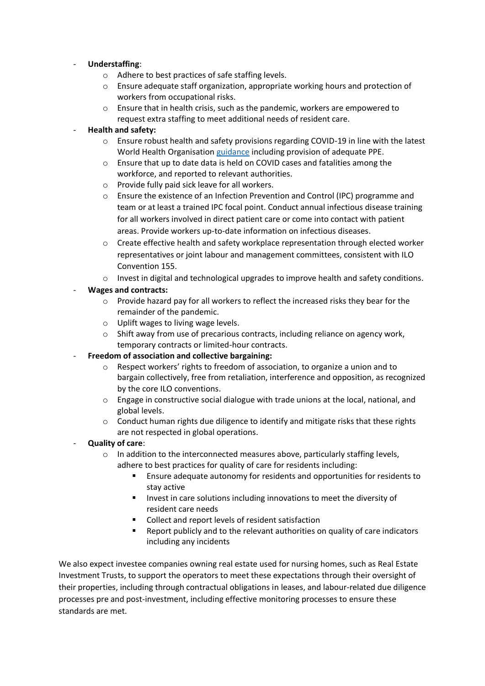## - **Understaffing**:

- o Adhere to best practices of safe staffing levels.
- $\circ$  Ensure adequate staff organization, appropriate working hours and protection of workers from occupational risks.
- o Ensure that in health crisis, such as the pandemic, workers are empowered to request extra staffing to meet additional needs of resident care.

## - **Health and safety:**

- $\circ$  Ensure robust health and safety provisions regarding COVID-19 in line with the latest World Health Organisation [guidance](https://apps.who.int/iris/bitstream/handle/10665/338481/WHO-2019-nCoV-IPC_long_term_care-2021.1-eng.pdf?sequence=1&isAllowed=y) including provision of adequate PPE.
- o Ensure that up to date data is held on COVID cases and fatalities among the workforce, and reported to relevant authorities.
- o Provide fully paid sick leave for all workers.
- o Ensure the existence of an Infection Prevention and Control (IPC) programme and team or at least a trained IPC focal point. Conduct annual infectious disease training for all workers involved in direct patient care or come into contact with patient areas. Provide workers up-to-date information on infectious diseases.
- o Create effective health and safety workplace representation through elected worker representatives or joint labour and management committees, consistent with ILO Convention 155.
- o Invest in digital and technological upgrades to improve health and safety conditions.

# - **Wages and contracts:**

- o Provide hazard pay for all workers to reflect the increased risks they bear for the remainder of the pandemic.
- o Uplift wages to living wage levels.
- o Shift away from use of precarious contracts, including reliance on agency work, temporary contracts or limited-hour contracts.
- **Freedom of association and collective bargaining:**
	- o Respect workers' rights to freedom of association, to organize a union and to bargain collectively, free from retaliation, interference and opposition, as recognized by the core ILO conventions.
	- o Engage in constructive social dialogue with trade unions at the local, national, and global levels.
	- $\circ$  Conduct human rights due diligence to identify and mitigate risks that these rights are not respected in global operations.

# - **Quality of care**:

- $\circ$  In addition to the interconnected measures above, particularly staffing levels, adhere to best practices for quality of care for residents including:
	- Ensure adequate autonomy for residents and opportunities for residents to stay active
	- Invest in care solutions including innovations to meet the diversity of resident care needs
	- Collect and report levels of resident satisfaction
	- Report publicly and to the relevant authorities on quality of care indicators including any incidents

We also expect investee companies owning real estate used for nursing homes, such as Real Estate Investment Trusts, to support the operators to meet these expectations through their oversight of their properties, including through contractual obligations in leases, and labour-related due diligence processes pre and post-investment, including effective monitoring processes to ensure these standards are met.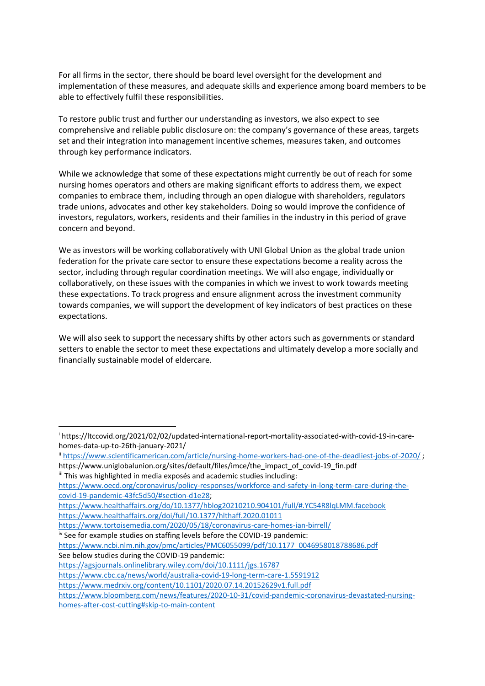For all firms in the sector, there should be board level oversight for the development and implementation of these measures, and adequate skills and experience among board members to be able to effectively fulfil these responsibilities.

To restore public trust and further our understanding as investors, we also expect to see comprehensive and reliable public disclosure on: the company's governance of these areas, targets set and their integration into management incentive schemes, measures taken, and outcomes through key performance indicators.

While we acknowledge that some of these expectations might currently be out of reach for some nursing homes operators and others are making significant efforts to address them, we expect companies to embrace them, including through an open dialogue with shareholders, regulators trade unions, advocates and other key stakeholders. Doing so would improve the confidence of investors, regulators, workers, residents and their families in the industry in this period of grave concern and beyond.

We as investors will be working collaboratively with UNI Global Union as the global trade union federation for the private care sector to ensure these expectations become a reality across the sector, including through regular coordination meetings. We will also engage, individually or collaboratively, on these issues with the companies in which we invest to work towards meeting these expectations. To track progress and ensure alignment across the investment community towards companies, we will support the development of key indicators of best practices on these expectations.

We will also seek to support the necessary shifts by other actors such as governments or standard setters to enable the sector to meet these expectations and ultimately develop a more socially and financially sustainable model of eldercare.

[https://www.oecd.org/coronavirus/policy-responses/workforce-and-safety-in-long-term-care-during-the](https://www.oecd.org/coronavirus/policy-responses/workforce-and-safety-in-long-term-care-during-the-covid-19-pandemic-43fc5d50/#section-d1e28)[covid-19-pandemic-43fc5d50/#section-d1e28;](https://www.oecd.org/coronavirus/policy-responses/workforce-and-safety-in-long-term-care-during-the-covid-19-pandemic-43fc5d50/#section-d1e28)

<https://www.healthaffairs.org/do/10.1377/hblog20210210.904101/full/#.YC54R8lqLMM.facebook> <https://www.healthaffairs.org/doi/full/10.1377/hlthaff.2020.01011>

<https://www.tortoisemedia.com/2020/05/18/coronavirus-care-homes-ian-birrell/>

iv See for example studies on staffing levels before the COVID-19 pandemic:

[https://www.ncbi.nlm.nih.gov/pmc/articles/PMC6055099/pdf/10.1177\\_0046958018788686.pdf](https://www.ncbi.nlm.nih.gov/pmc/articles/PMC6055099/pdf/10.1177_0046958018788686.pdf) See below studies during the COVID-19 pandemic:

<https://agsjournals.onlinelibrary.wiley.com/doi/10.1111/jgs.16787>

<https://www.cbc.ca/news/world/australia-covid-19-long-term-care-1.5591912>

<https://www.medrxiv.org/content/10.1101/2020.07.14.20152629v1.full.pdf>

<sup>i</sup> https://ltccovid.org/2021/02/02/updated-international-report-mortality-associated-with-covid-19-in-carehomes-data-up-to-26th-january-2021/

ii <https://www.scientificamerican.com/article/nursing-home-workers-had-one-of-the-deadliest-jobs-of-2020/> ; https://www.uniglobalunion.org/sites/default/files/imce/the\_impact\_of\_covid-19\_fin.pdf

iii This was highlighted in media exposés and academic studies including:

[https://www.bloomberg.com/news/features/2020-10-31/covid-pandemic-coronavirus-devastated-nursing](https://www.bloomberg.com/news/features/2020-10-31/covid-pandemic-coronavirus-devastated-nursing-homes-after-cost-cutting#skip-to-main-content)[homes-after-cost-cutting#skip-to-main-content](https://www.bloomberg.com/news/features/2020-10-31/covid-pandemic-coronavirus-devastated-nursing-homes-after-cost-cutting#skip-to-main-content)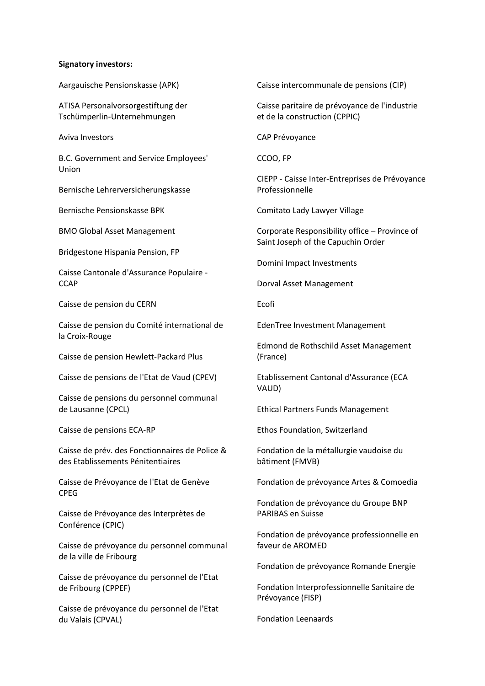#### **Signatory investors:**

Aargauische Pensionskasse (APK)

ATISA Personalvorsorgestiftung der Tschümperlin-Unternehmungen

Aviva Investors

B.C. Government and Service Employees' Union

Bernische Lehrerversicherungskasse

Bernische Pensionskasse BPK

BMO Global Asset Management

Bridgestone Hispania Pension, FP

Caisse Cantonale d'Assurance Populaire - **CCAP** 

Caisse de pension du CERN

Caisse de pension du Comité international de la Croix-Rouge

Caisse de pension Hewlett-Packard Plus

Caisse de pensions de l'Etat de Vaud (CPEV)

Caisse de pensions du personnel communal de Lausanne (CPCL)

Caisse de pensions ECA-RP

Caisse de prév. des Fonctionnaires de Police & des Etablissements Pénitentiaires

Caisse de Prévoyance de l'Etat de Genève CPEG

Caisse de Prévoyance des Interprètes de Conférence (CPIC)

Caisse de prévoyance du personnel communal de la ville de Fribourg

Caisse de prévoyance du personnel de l'Etat de Fribourg (CPPEF)

Caisse de prévoyance du personnel de l'Etat du Valais (CPVAL)

Caisse intercommunale de pensions (CIP)

Caisse paritaire de prévoyance de l'industrie et de la construction (CPPIC)

CAP Prévoyance

CCOO, FP

CIEPP - Caisse Inter-Entreprises de Prévoyance Professionnelle

Comitato Lady Lawyer Village

Corporate Responsibility office – Province of Saint Joseph of the Capuchin Order

Domini Impact Investments

Dorval Asset Management

Ecofi

EdenTree Investment Management

Edmond de Rothschild Asset Management (France)

Etablissement Cantonal d'Assurance (ECA VAUD)

Ethical Partners Funds Management

Ethos Foundation, Switzerland

Fondation de la métallurgie vaudoise du bâtiment (FMVB)

Fondation de prévoyance Artes & Comoedia

Fondation de prévoyance du Groupe BNP PARIBAS en Suisse

Fondation de prévoyance professionnelle en faveur de AROMED

Fondation de prévoyance Romande Energie

Fondation Interprofessionnelle Sanitaire de Prévoyance (FISP)

Fondation Leenaards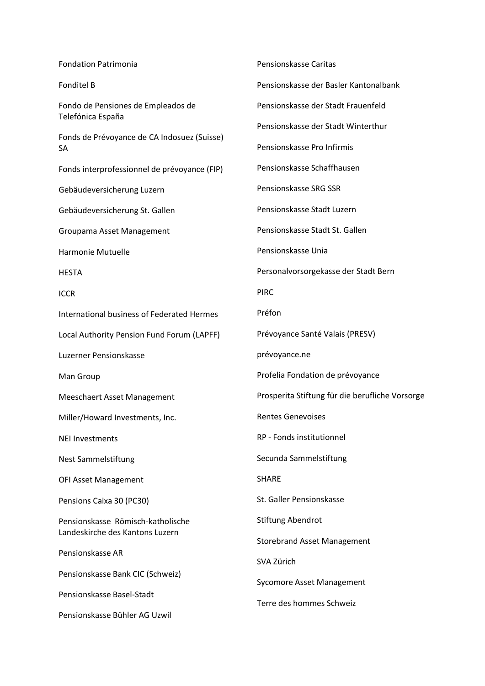| <b>Fondation Patrimonia</b>                                          | Pensionskasse Caritas                           |
|----------------------------------------------------------------------|-------------------------------------------------|
| <b>Fonditel B</b>                                                    | Pensionskasse der Basler Kantonalbank           |
| Fondo de Pensiones de Empleados de<br>Telefónica España              | Pensionskasse der Stadt Frauenfeld              |
| Fonds de Prévoyance de CA Indosuez (Suisse)<br>SА                    | Pensionskasse der Stadt Winterthur              |
|                                                                      | Pensionskasse Pro Infirmis                      |
| Fonds interprofessionnel de prévoyance (FIP)                         | Pensionskasse Schaffhausen                      |
| Gebäudeversicherung Luzern                                           | Pensionskasse SRG SSR                           |
| Gebäudeversicherung St. Gallen                                       | Pensionskasse Stadt Luzern                      |
| Groupama Asset Management                                            | Pensionskasse Stadt St. Gallen                  |
| Harmonie Mutuelle                                                    | Pensionskasse Unia                              |
| <b>HESTA</b>                                                         | Personalvorsorgekasse der Stadt Bern            |
| <b>ICCR</b>                                                          | <b>PIRC</b>                                     |
| International business of Federated Hermes                           | Préfon                                          |
| Local Authority Pension Fund Forum (LAPFF)                           | Prévoyance Santé Valais (PRESV)                 |
| Luzerner Pensionskasse                                               | prévoyance.ne                                   |
| Man Group                                                            | Profelia Fondation de prévoyance                |
| Meeschaert Asset Management                                          | Prosperita Stiftung für die berufliche Vorsorge |
| Miller/Howard Investments, Inc.                                      | <b>Rentes Genevoises</b>                        |
| <b>NEI Investments</b>                                               | RP - Fonds institutionnel                       |
| <b>Nest Sammelstiftung</b>                                           | Secunda Sammelstiftung                          |
| <b>OFI Asset Management</b>                                          | <b>SHARE</b>                                    |
| Pensions Caixa 30 (PC30)                                             | St. Galler Pensionskasse                        |
| Pensionskasse Römisch-katholische<br>Landeskirche des Kantons Luzern | Stiftung Abendrot                               |
| Pensionskasse AR                                                     | <b>Storebrand Asset Management</b>              |
|                                                                      | SVA Zürich                                      |
| Pensionskasse Bank CIC (Schweiz)<br>Pensionskasse Basel-Stadt        | <b>Sycomore Asset Management</b>                |
| Pensionskasse Bühler AG Uzwil                                        | Terre des hommes Schweiz                        |
|                                                                      |                                                 |